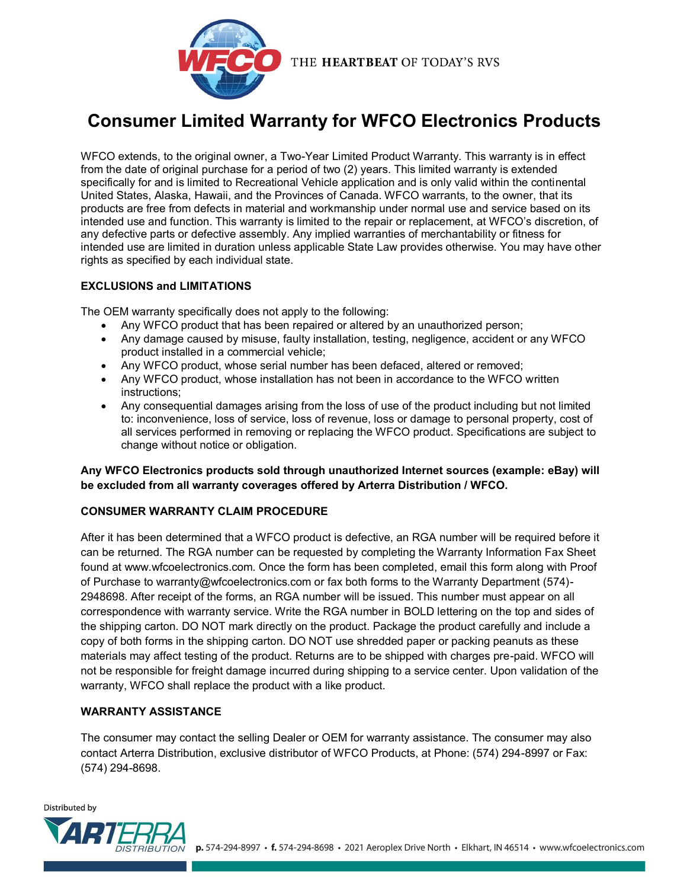

# **Consumer Limited Warranty for WFCO Electronics Products**

WFCO extends, to the original owner, a Two-Year Limited Product Warranty. This warranty is in effect from the date of original purchase for a period of two (2) years. This limited warranty is extended specifically for and is limited to Recreational Vehicle application and is only valid within the continental United States, Alaska, Hawaii, and the Provinces of Canada. WFCO warrants, to the owner, that its products are free from defects in material and workmanship under normal use and service based on its intended use and function. This warranty is limited to the repair or replacement, at WFCO's discretion, of any defective parts or defective assembly. Any implied warranties of merchantability or fitness for intended use are limited in duration unless applicable State Law provides otherwise. You may have other rights as specified by each individual state.

### **EXCLUSIONS and LIMITATIONS**

The OEM warranty specifically does not apply to the following:

- Any WFCO product that has been repaired or altered by an unauthorized person;
- Any damage caused by misuse, faulty installation, testing, negligence, accident or any WFCO product installed in a commercial vehicle;
- Any WFCO product, whose serial number has been defaced, altered or removed;
- Any WFCO product, whose installation has not been in accordance to the WFCO written instructions;
- Any consequential damages arising from the loss of use of the product including but not limited to: inconvenience, loss of service, loss of revenue, loss or damage to personal property, cost of all services performed in removing or replacing the WFCO product. Specifications are subject to change without notice or obligation.

### **Any WFCO Electronics products sold through unauthorized Internet sources (example: eBay) will be excluded from all warranty coverages offered by Arterra Distribution / WFCO.**

## **CONSUMER WARRANTY CLAIM PROCEDURE**

After it has been determined that a WFCO product is defective, an RGA number will be required before it can be returned. The RGA number can be requested by completing the Warranty Information Fax Sheet found at www.wfcoelectronics.com. Once the form has been completed, email this form along with Proof of Purchase to warranty@wfcoelectronics.com or fax both forms to the Warranty Department (574)- 2948698. After receipt of the forms, an RGA number will be issued. This number must appear on all correspondence with warranty service. Write the RGA number in BOLD lettering on the top and sides of the shipping carton. DO NOT mark directly on the product. Package the product carefully and include a copy of both forms in the shipping carton. DO NOT use shredded paper or packing peanuts as these materials may affect testing of the product. Returns are to be shipped with charges pre-paid. WFCO will not be responsible for freight damage incurred during shipping to a service center. Upon validation of the warranty, WFCO shall replace the product with a like product.

### **WARRANTY ASSISTANCE**

The consumer may contact the selling Dealer or OEM for warranty assistance. The consumer may also contact Arterra Distribution, exclusive distributor of WFCO Products, at Phone: (574) 294-8997 or Fax: (574) 294-8698.